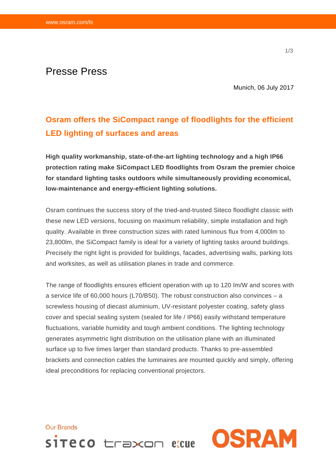## Presse Press

Munich, 06 July 2017

## **Osram offers the SiCompact range of floodlights for the efficient LED lighting of surfaces and areas**

**High quality workmanship, state-of-the-art lighting technology and a high IP66 protection rating make SiCompact LED floodlights from Osram the premier choice for standard lighting tasks outdoors while simultaneously providing economical, low-maintenance and energy-efficient lighting solutions.** 

Osram continues the success story of the tried-and-trusted Siteco floodlight classic with these new LED versions, focusing on maximum reliability, simple installation and high quality. Available in three construction sizes with rated luminous flux from 4,000lm to 23,800lm, the SiCompact family is ideal for a variety of lighting tasks around buildings. Precisely the right light is provided for buildings, facades, advertising walls, parking lots and worksites, as well as utilisation planes in trade and commerce.

The range of floodlights ensures efficient operation with up to 120 lm/W and scores with a service life of 60,000 hours (L70/B50). The robust construction also convinces – a screwless housing of diecast aluminium, UV-resistant polyester coating, safety glass cover and special sealing system (sealed for life / IP66) easily withstand temperature fluctuations, variable humidity and tough ambient conditions. The lighting technology generates asymmetric light distribution on the utilisation plane with an illuminated surface up to five times larger than standard products. Thanks to pre-assembled brackets and connection cables the luminaires are mounted quickly and simply, offering ideal preconditions for replacing conventional projectors.

**OSRAM**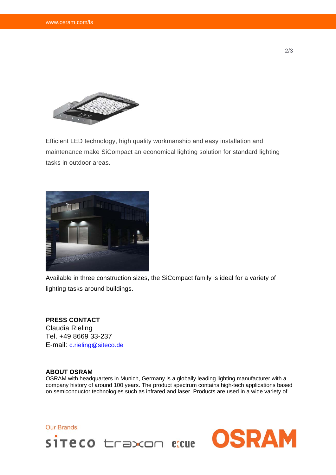

Efficient LED technology, high quality workmanship and easy installation and maintenance make SiCompact an economical lighting solution for standard lighting tasks in outdoor areas.



Available in three construction sizes, the SiCompact family is ideal for a variety of lighting tasks around buildings.

## **PRESS CONTACT**

Claudia Rieling Tel. +49 8669 33-237 E-mail: c.rieling@siteco.de

## **ABOUT OSRAM**

OSRAM with headquarters in Munich, Germany is a globally leading lighting manufacturer with a company history of around 100 years. The product spectrum contains high-tech applications based on semiconductor technologies such as infrared and laser. Products are used in a wide variety of